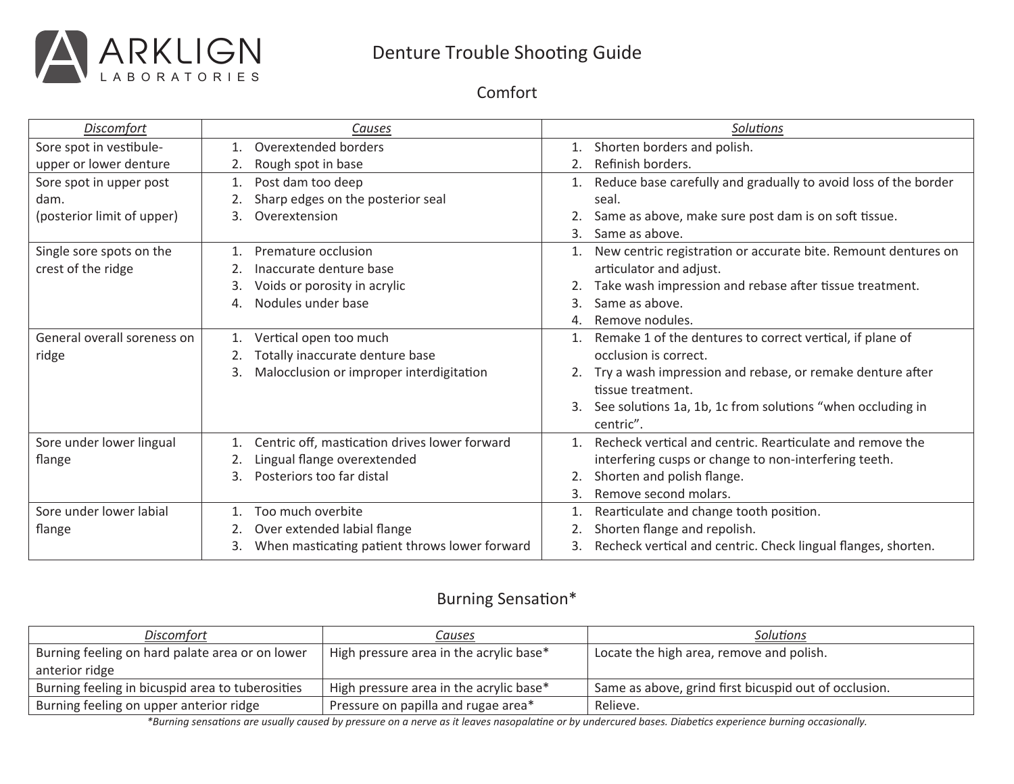

## Denture Trouble Shooting Guide

Comfort

| <b>Discomfort</b>           | Causes                                              | <b>Solutions</b>                                                         |
|-----------------------------|-----------------------------------------------------|--------------------------------------------------------------------------|
| Sore spot in vestibule-     | Overextended borders                                | Shorten borders and polish.                                              |
| upper or lower denture      | Rough spot in base<br>2.                            | Refinish borders.                                                        |
| Sore spot in upper post     | Post dam too deep<br>1.                             | Reduce base carefully and gradually to avoid loss of the border          |
| dam.                        | Sharp edges on the posterior seal                   | seal.                                                                    |
| (posterior limit of upper)  | Overextension<br>3.                                 | Same as above, make sure post dam is on soft tissue.                     |
|                             |                                                     | Same as above.<br>3.                                                     |
| Single sore spots on the    | Premature occlusion<br>1.                           | New centric registration or accurate bite. Remount dentures on           |
| crest of the ridge          | Inaccurate denture base<br>2.                       | articulator and adjust.                                                  |
|                             | Voids or porosity in acrylic<br>3.                  | Take wash impression and rebase after tissue treatment.                  |
|                             | Nodules under base<br>4.                            | Same as above.<br>3.                                                     |
|                             |                                                     | Remove nodules.<br>4.                                                    |
| General overall soreness on | Vertical open too much<br>1.                        | Remake 1 of the dentures to correct vertical, if plane of<br>1.          |
| ridge                       | Totally inaccurate denture base                     | occlusion is correct.                                                    |
|                             | Malocclusion or improper interdigitation<br>3.      | Try a wash impression and rebase, or remake denture after                |
|                             |                                                     | tissue treatment.                                                        |
|                             |                                                     | See solutions 1a, 1b, 1c from solutions "when occluding in<br>3.         |
|                             |                                                     | centric".                                                                |
| Sore under lower lingual    | Centric off, mastication drives lower forward       | Recheck vertical and centric. Rearticulate and remove the<br>$1_{\cdot}$ |
| flange                      | Lingual flange overextended                         | interfering cusps or change to non-interfering teeth.                    |
|                             | Posteriors too far distal<br>3.                     | Shorten and polish flange.                                               |
|                             |                                                     | Remove second molars.<br>3.                                              |
| Sore under lower labial     | Too much overbite                                   | Rearticulate and change tooth position.                                  |
| flange                      | Over extended labial flange                         | Shorten flange and repolish.                                             |
|                             | When masticating patient throws lower forward<br>3. | Recheck vertical and centric. Check lingual flanges, shorten.<br>3.      |

#### Burning Sensation\*

| Discomfort                                       | Causes                                  | Solutions                                             |
|--------------------------------------------------|-----------------------------------------|-------------------------------------------------------|
| Burning feeling on hard palate area or on lower  | High pressure area in the acrylic base* | Locate the high area, remove and polish.              |
| anterior ridge                                   |                                         |                                                       |
| Burning feeling in bicuspid area to tuberosities | High pressure area in the acrylic base* | Same as above, grind first bicuspid out of occlusion. |
| Burning feeling on upper anterior ridge          | Pressure on papilla and rugae area*     | Relieve.                                              |

\*Burning sensations are usually caused by pressure on a nerve as it leaves nasopalatine or by undercured bases. Diabetics experience burning occasionally.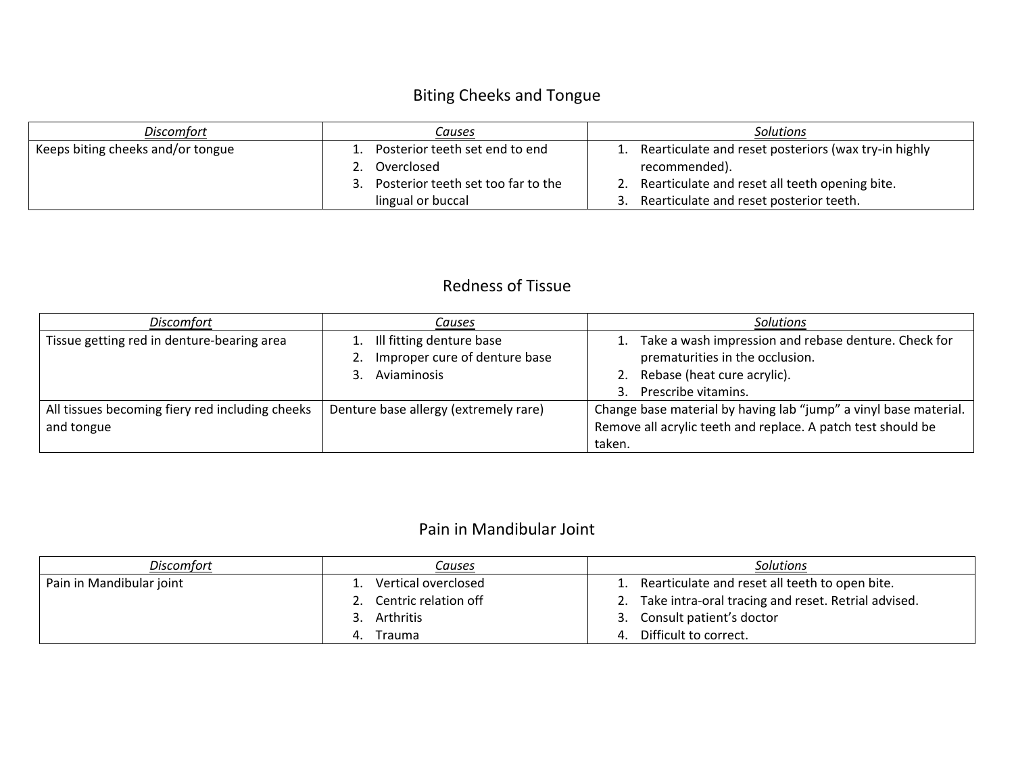# Biting Cheeks and Tongue

| <b>Discomfort</b>                 | Causes                             | Solutions                                            |
|-----------------------------------|------------------------------------|------------------------------------------------------|
| Keeps biting cheeks and/or tongue | Posterior teeth set end to end     | Rearticulate and reset posteriors (wax try-in highly |
|                                   | Overclosed                         | recommended).                                        |
|                                   | Posterior teeth set too far to the | Rearticulate and reset all teeth opening bite.       |
|                                   | lingual or buccal                  | Rearticulate and reset posterior teeth.              |

#### Redness of Tissue

| <b>Discomfort</b>                                             | Causes                                                                                  | <b>Solutions</b>                                                                                                                                       |
|---------------------------------------------------------------|-----------------------------------------------------------------------------------------|--------------------------------------------------------------------------------------------------------------------------------------------------------|
| Tissue getting red in denture-bearing area                    | 1. Ill fitting denture base<br>Improper cure of denture base<br>2.<br>Aviaminosis<br>3. | 1. Take a wash impression and rebase denture. Check for<br>prematurities in the occlusion.<br>2. Rebase (heat cure acrylic).<br>3. Prescribe vitamins. |
| All tissues becoming fiery red including cheeks<br>and tongue | Denture base allergy (extremely rare)                                                   | Change base material by having lab "jump" a vinyl base material.<br>Remove all acrylic teeth and replace. A patch test should be<br>taken.             |

## Pain in Mandibular Joint

| <b>Discomfort</b>        | <u>Causes</u>        | <b>Solutions</b>                                    |
|--------------------------|----------------------|-----------------------------------------------------|
| Pain in Mandibular joint | Vertical overclosed  | Rearticulate and reset all teeth to open bite.      |
|                          | Centric relation off | Take intra-oral tracing and reset. Retrial advised. |
|                          | Arthritis<br>3.      | Consult patient's doctor<br>્ર                      |
|                          | Trauma<br>4.         | Difficult to correct.<br>4.                         |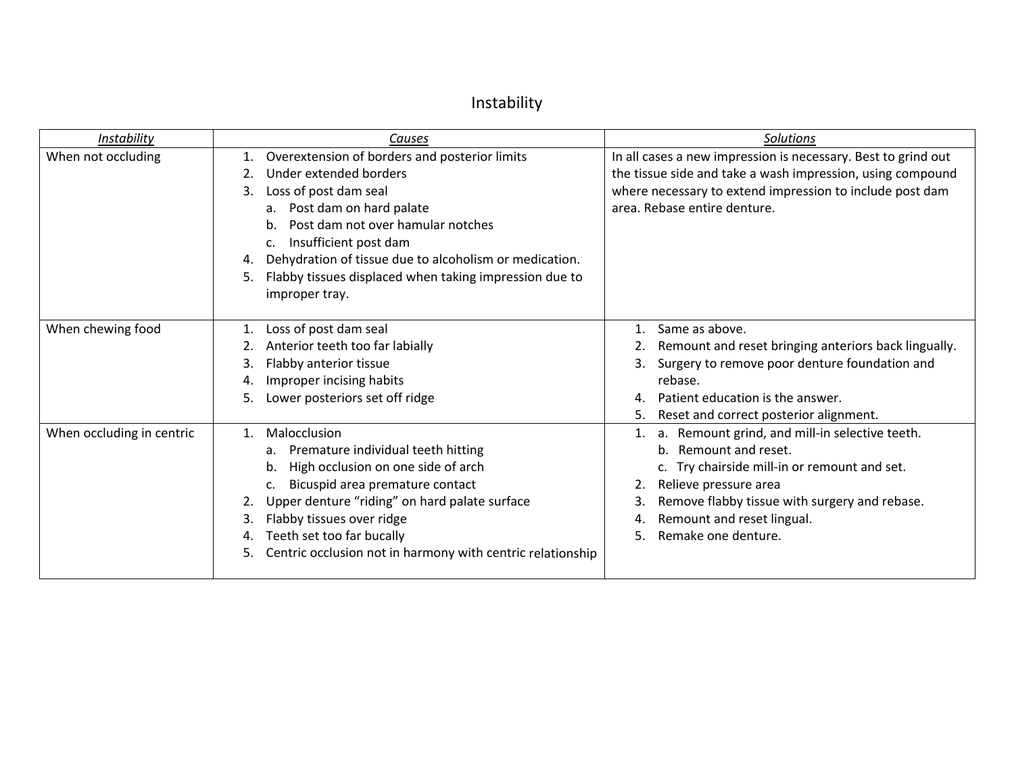# Instability

| Instability               | Causes                                                                                                                                                                                                                                                                                                                                                                    | Solutions                                                                                                                                                                                                                                                          |
|---------------------------|---------------------------------------------------------------------------------------------------------------------------------------------------------------------------------------------------------------------------------------------------------------------------------------------------------------------------------------------------------------------------|--------------------------------------------------------------------------------------------------------------------------------------------------------------------------------------------------------------------------------------------------------------------|
| When not occluding        | Overextension of borders and posterior limits<br>1.<br>Under extended borders<br>Loss of post dam seal<br>3.<br>Post dam on hard palate<br>а.<br>Post dam not over hamular notches<br>b.<br>Insufficient post dam<br>c.<br>Dehydration of tissue due to alcoholism or medication.<br>4.<br>Flabby tissues displaced when taking impression due to<br>5.<br>improper tray. | In all cases a new impression is necessary. Best to grind out<br>the tissue side and take a wash impression, using compound<br>where necessary to extend impression to include post dam<br>area. Rebase entire denture.                                            |
| When chewing food         | Loss of post dam seal<br>Anterior teeth too far labially<br>Flabby anterior tissue<br>3.<br>Improper incising habits<br>4.<br>Lower posteriors set off ridge<br>5.                                                                                                                                                                                                        | Same as above.<br>Remount and reset bringing anteriors back lingually.<br>Surgery to remove poor denture foundation and<br>rebase.<br>Patient education is the answer.<br>4.<br>Reset and correct posterior alignment.<br>5.                                       |
| When occluding in centric | Malocclusion<br>1.<br>Premature individual teeth hitting<br>a.<br>High occlusion on one side of arch<br>b.<br>Bicuspid area premature contact<br>c.<br>Upper denture "riding" on hard palate surface<br>Flabby tissues over ridge<br>3.<br>Teeth set too far bucally<br>4.<br>Centric occlusion not in harmony with centric relationship<br>5.                            | a. Remount grind, and mill-in selective teeth.<br>b. Remount and reset.<br>c. Try chairside mill-in or remount and set.<br>Relieve pressure area<br>Remove flabby tissue with surgery and rebase.<br>Remount and reset lingual.<br>4.<br>Remake one denture.<br>5. |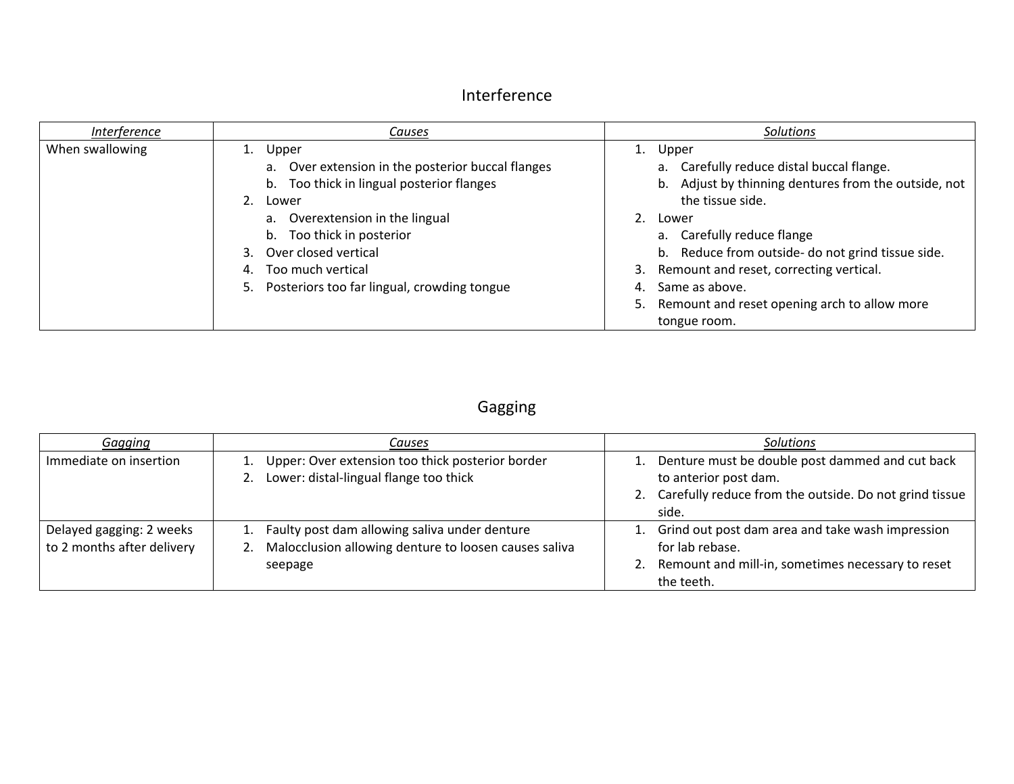## Interference

| Interference    | Causes                                                                                                                                                               | Solutions                                                                                                                                                                                                                               |
|-----------------|----------------------------------------------------------------------------------------------------------------------------------------------------------------------|-----------------------------------------------------------------------------------------------------------------------------------------------------------------------------------------------------------------------------------------|
| When swallowing | Upper<br>a. Over extension in the posterior buccal flanges<br>b. Too thick in lingual posterior flanges<br>$2^{2}$<br>Lower                                          | 1. Upper<br>a. Carefully reduce distal buccal flange.<br>b. Adjust by thinning dentures from the outside, not<br>the tissue side.                                                                                                       |
|                 | a. Overextension in the lingual<br>b. Too thick in posterior<br>Over closed vertical<br>Too much vertical<br>4.<br>Posteriors too far lingual, crowding tongue<br>5. | 2.<br>Lower<br>a. Carefully reduce flange<br>b. Reduce from outside- do not grind tissue side.<br>Remount and reset, correcting vertical.<br>3.<br>Same as above.<br>4.<br>Remount and reset opening arch to allow more<br>tongue room. |

# Gagging

| Gagging                                                | Causes                                                                                                                  | <b>Solutions</b>                                                                                                                                  |
|--------------------------------------------------------|-------------------------------------------------------------------------------------------------------------------------|---------------------------------------------------------------------------------------------------------------------------------------------------|
| Immediate on insertion                                 | 1. Upper: Over extension too thick posterior border<br>2. Lower: distal-lingual flange too thick                        | 1. Denture must be double post dammed and cut back<br>to anterior post dam.<br>2. Carefully reduce from the outside. Do not grind tissue<br>side. |
| Delayed gagging: 2 weeks<br>to 2 months after delivery | 1. Faulty post dam allowing saliva under denture<br>2. Malocclusion allowing denture to loosen causes saliva<br>seepage | 1. Grind out post dam area and take wash impression<br>for lab rebase.<br>2. Remount and mill-in, sometimes necessary to reset<br>the teeth.      |